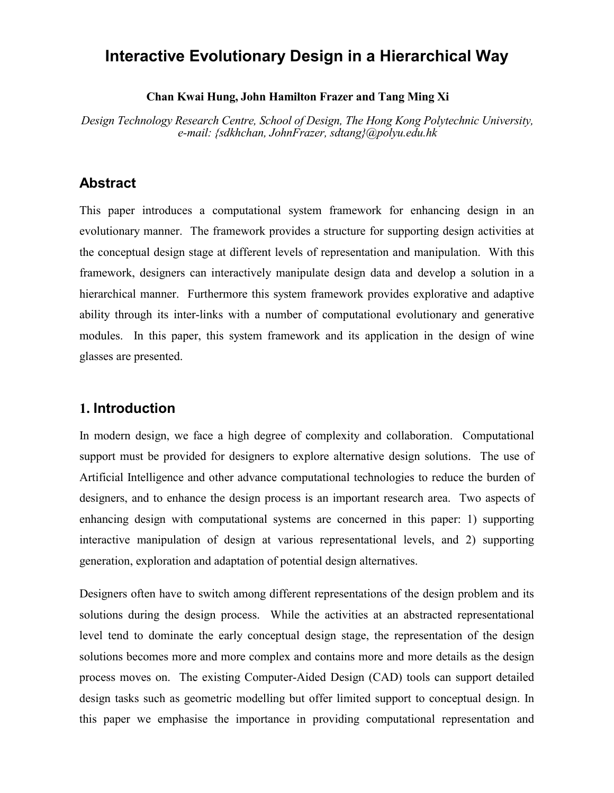# **Interactive Evolutionary Design in a Hierarchical Way**

#### **Chan Kwai Hung, John Hamilton Frazer and Tang Ming Xi**

*Design Technology Research Centre, School of Design, The Hong Kong Polytechnic University, e-mail: {sdkhchan, JohnFrazer, sdtang}@polyu.edu.hk*

## **Abstract**

This paper introduces a computational system framework for enhancing design in an evolutionary manner. The framework provides a structure for supporting design activities at the conceptual design stage at different levels of representation and manipulation. With this framework, designers can interactively manipulate design data and develop a solution in a hierarchical manner. Furthermore this system framework provides explorative and adaptive ability through its inter-links with a number of computational evolutionary and generative modules. In this paper, this system framework and its application in the design of wine glasses are presented.

### **1. Introduction**

In modern design, we face a high degree of complexity and collaboration. Computational support must be provided for designers to explore alternative design solutions. The use of Artificial Intelligence and other advance computational technologies to reduce the burden of designers, and to enhance the design process is an important research area. Two aspects of enhancing design with computational systems are concerned in this paper: 1) supporting interactive manipulation of design at various representational levels, and 2) supporting generation, exploration and adaptation of potential design alternatives.

Designers often have to switch among different representations of the design problem and its solutions during the design process. While the activities at an abstracted representational level tend to dominate the early conceptual design stage, the representation of the design solutions becomes more and more complex and contains more and more details as the design process moves on. The existing Computer-Aided Design (CAD) tools can support detailed design tasks such as geometric modelling but offer limited support to conceptual design. In this paper we emphasise the importance in providing computational representation and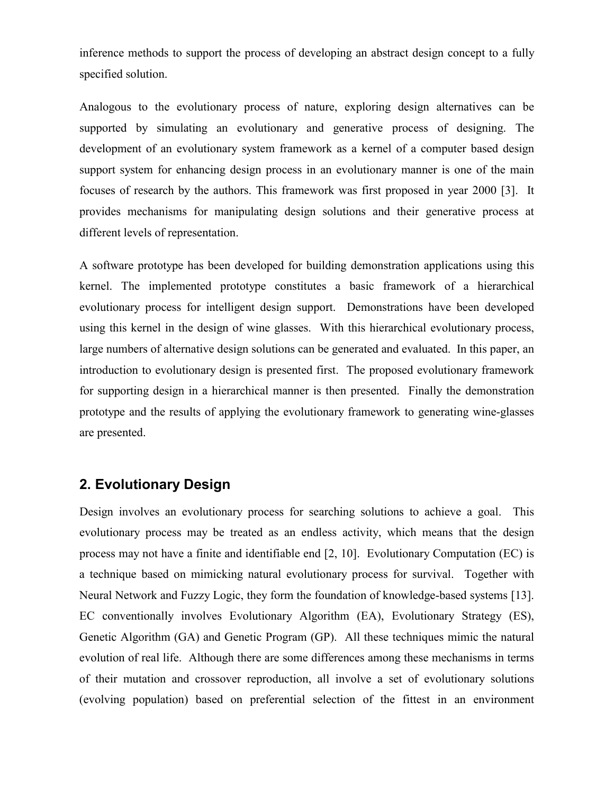inference methods to support the process of developing an abstract design concept to a fully specified solution.

Analogous to the evolutionary process of nature, exploring design alternatives can be supported by simulating an evolutionary and generative process of designing. The development of an evolutionary system framework as a kernel of a computer based design support system for enhancing design process in an evolutionary manner is one of the main focuses of research by the authors. This framework was first proposed in year 2000 [3]. It provides mechanisms for manipulating design solutions and their generative process at different levels of representation.

A software prototype has been developed for building demonstration applications using this kernel. The implemented prototype constitutes a basic framework of a hierarchical evolutionary process for intelligent design support. Demonstrations have been developed using this kernel in the design of wine glasses. With this hierarchical evolutionary process, large numbers of alternative design solutions can be generated and evaluated. In this paper, an introduction to evolutionary design is presented first. The proposed evolutionary framework for supporting design in a hierarchical manner is then presented. Finally the demonstration prototype and the results of applying the evolutionary framework to generating wine-glasses are presented.

### **2. Evolutionary Design**

Design involves an evolutionary process for searching solutions to achieve a goal. This evolutionary process may be treated as an endless activity, which means that the design process may not have a finite and identifiable end [2, 10]. Evolutionary Computation (EC) is a technique based on mimicking natural evolutionary process for survival. Together with Neural Network and Fuzzy Logic, they form the foundation of knowledge-based systems [13]. EC conventionally involves Evolutionary Algorithm (EA), Evolutionary Strategy (ES), Genetic Algorithm (GA) and Genetic Program (GP). All these techniques mimic the natural evolution of real life. Although there are some differences among these mechanisms in terms of their mutation and crossover reproduction, all involve a set of evolutionary solutions (evolving population) based on preferential selection of the fittest in an environment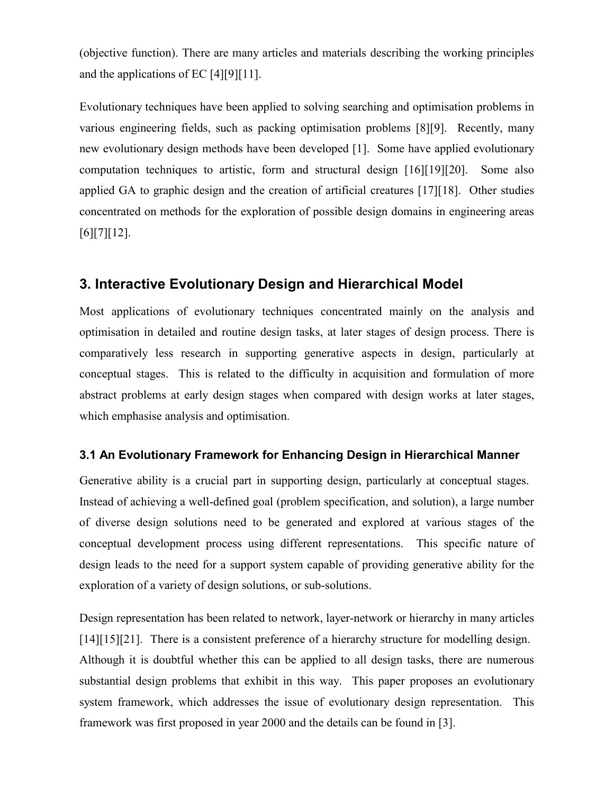(objective function). There are many articles and materials describing the working principles and the applications of EC [4][9][11].

Evolutionary techniques have been applied to solving searching and optimisation problems in various engineering fields, such as packing optimisation problems [8][9]. Recently, many new evolutionary design methods have been developed [1]. Some have applied evolutionary computation techniques to artistic, form and structural design [16][19][20]. Some also applied GA to graphic design and the creation of artificial creatures [17][18]. Other studies concentrated on methods for the exploration of possible design domains in engineering areas [6][7][12].

## **3. Interactive Evolutionary Design and Hierarchical Model**

Most applications of evolutionary techniques concentrated mainly on the analysis and optimisation in detailed and routine design tasks, at later stages of design process. There is comparatively less research in supporting generative aspects in design, particularly at conceptual stages. This is related to the difficulty in acquisition and formulation of more abstract problems at early design stages when compared with design works at later stages, which emphasise analysis and optimisation.

### **3.1 An Evolutionary Framework for Enhancing Design in Hierarchical Manner**

Generative ability is a crucial part in supporting design, particularly at conceptual stages. Instead of achieving a well-defined goal (problem specification, and solution), a large number of diverse design solutions need to be generated and explored at various stages of the conceptual development process using different representations. This specific nature of design leads to the need for a support system capable of providing generative ability for the exploration of a variety of design solutions, or sub-solutions.

Design representation has been related to network, layer-network or hierarchy in many articles [14][15][21]. There is a consistent preference of a hierarchy structure for modelling design. Although it is doubtful whether this can be applied to all design tasks, there are numerous substantial design problems that exhibit in this way. This paper proposes an evolutionary system framework, which addresses the issue of evolutionary design representation. This framework was first proposed in year 2000 and the details can be found in [3].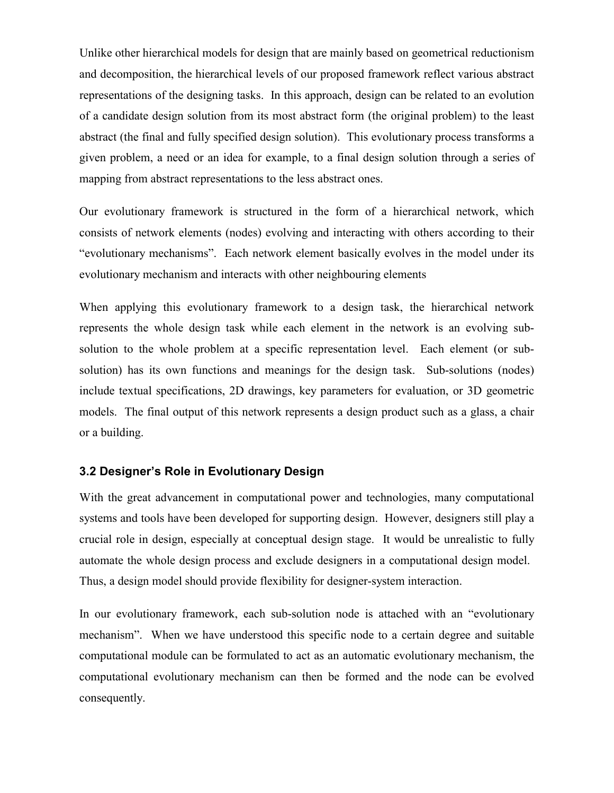Unlike other hierarchical models for design that are mainly based on geometrical reductionism and decomposition, the hierarchical levels of our proposed framework reflect various abstract representations of the designing tasks. In this approach, design can be related to an evolution of a candidate design solution from its most abstract form (the original problem) to the least abstract (the final and fully specified design solution). This evolutionary process transforms a given problem, a need or an idea for example, to a final design solution through a series of mapping from abstract representations to the less abstract ones.

Our evolutionary framework is structured in the form of a hierarchical network, which consists of network elements (nodes) evolving and interacting with others according to their "evolutionary mechanisms". Each network element basically evolves in the model under its evolutionary mechanism and interacts with other neighbouring elements

When applying this evolutionary framework to a design task, the hierarchical network represents the whole design task while each element in the network is an evolving subsolution to the whole problem at a specific representation level. Each element (or subsolution) has its own functions and meanings for the design task. Sub-solutions (nodes) include textual specifications, 2D drawings, key parameters for evaluation, or 3D geometric models. The final output of this network represents a design product such as a glass, a chair or a building.

#### **3.2 Designer's Role in Evolutionary Design**

With the great advancement in computational power and technologies, many computational systems and tools have been developed for supporting design. However, designers still play a crucial role in design, especially at conceptual design stage. It would be unrealistic to fully automate the whole design process and exclude designers in a computational design model. Thus, a design model should provide flexibility for designer-system interaction.

In our evolutionary framework, each sub-solution node is attached with an "evolutionary mechanism". When we have understood this specific node to a certain degree and suitable computational module can be formulated to act as an automatic evolutionary mechanism, the computational evolutionary mechanism can then be formed and the node can be evolved consequently.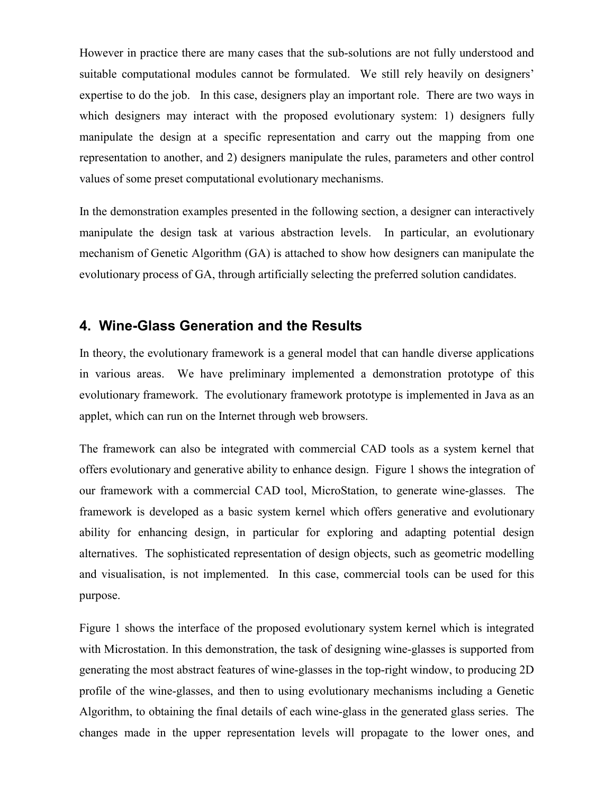However in practice there are many cases that the sub-solutions are not fully understood and suitable computational modules cannot be formulated. We still rely heavily on designers' expertise to do the job. In this case, designers play an important role. There are two ways in which designers may interact with the proposed evolutionary system: 1) designers fully manipulate the design at a specific representation and carry out the mapping from one representation to another, and 2) designers manipulate the rules, parameters and other control values of some preset computational evolutionary mechanisms.

In the demonstration examples presented in the following section, a designer can interactively manipulate the design task at various abstraction levels. In particular, an evolutionary mechanism of Genetic Algorithm (GA) is attached to show how designers can manipulate the evolutionary process of GA, through artificially selecting the preferred solution candidates.

## **4. Wine-Glass Generation and the Results**

In theory, the evolutionary framework is a general model that can handle diverse applications in various areas. We have preliminary implemented a demonstration prototype of this evolutionary framework. The evolutionary framework prototype is implemented in Java as an applet, which can run on the Internet through web browsers.

The framework can also be integrated with commercial CAD tools as a system kernel that offers evolutionary and generative ability to enhance design. Figure 1 shows the integration of our framework with a commercial CAD tool, MicroStation, to generate wine-glasses. The framework is developed as a basic system kernel which offers generative and evolutionary ability for enhancing design, in particular for exploring and adapting potential design alternatives. The sophisticated representation of design objects, such as geometric modelling and visualisation, is not implemented. In this case, commercial tools can be used for this purpose.

Figure 1 shows the interface of the proposed evolutionary system kernel which is integrated with Microstation. In this demonstration, the task of designing wine-glasses is supported from generating the most abstract features of wine-glasses in the top-right window, to producing 2D profile of the wine-glasses, and then to using evolutionary mechanisms including a Genetic Algorithm, to obtaining the final details of each wine-glass in the generated glass series. The changes made in the upper representation levels will propagate to the lower ones, and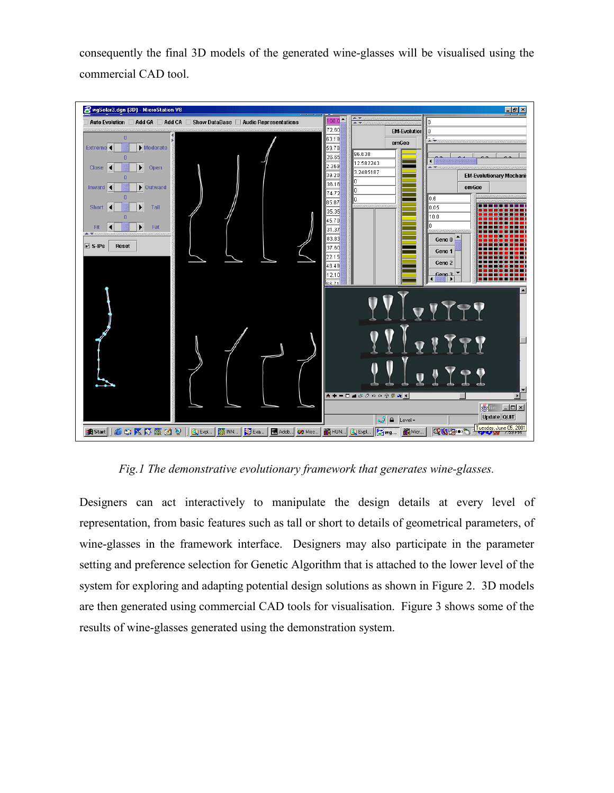consequently the final 3D models of the generated wine-glasses will be visualised using the commercial CAD tool.



*Fig.1 The demonstrative evolutionary framework that generates wine-glasses.*

Designers can act interactively to manipulate the design details at every level of representation, from basic features such as tall or short to details of geometrical parameters, of wine-glasses in the framework interface. Designers may also participate in the parameter setting and preference selection for Genetic Algorithm that is attached to the lower level of the system for exploring and adapting potential design solutions as shown in Figure 2. 3D models are then generated using commercial CAD tools for visualisation. Figure 3 shows some of the results of wine-glasses generated using the demonstration system.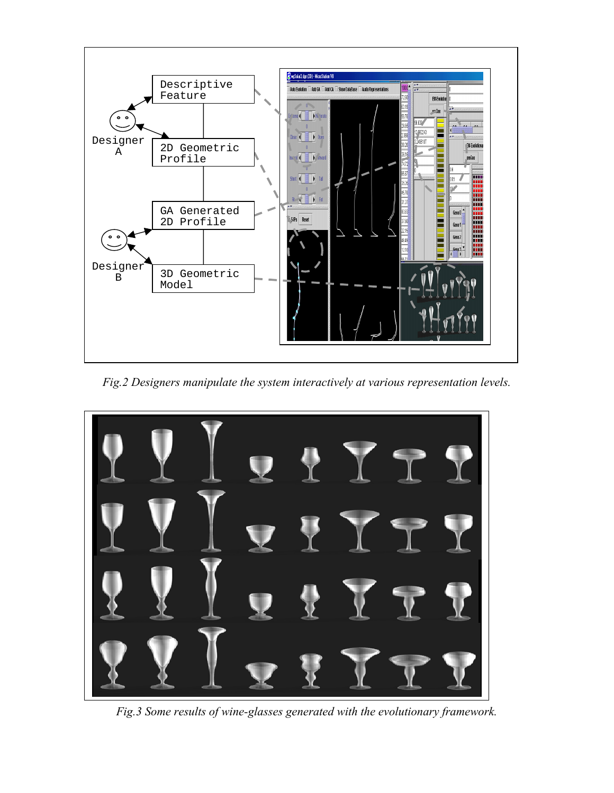

*Fig.2 Designers manipulate the system interactively at various representation levels.*



*Fig.3 Some results of wine-glasses generated with the evolutionary framework.*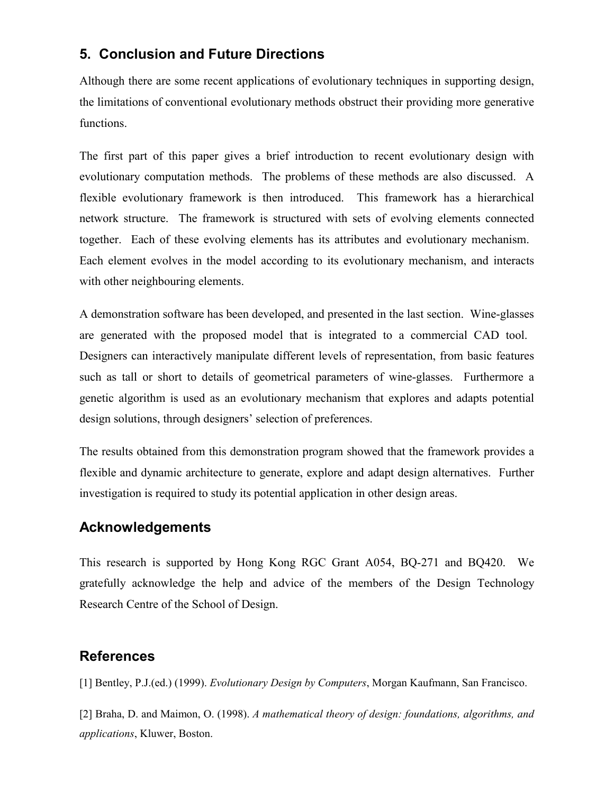## **5. Conclusion and Future Directions**

Although there are some recent applications of evolutionary techniques in supporting design, the limitations of conventional evolutionary methods obstruct their providing more generative functions.

The first part of this paper gives a brief introduction to recent evolutionary design with evolutionary computation methods. The problems of these methods are also discussed. A flexible evolutionary framework is then introduced. This framework has a hierarchical network structure. The framework is structured with sets of evolving elements connected together. Each of these evolving elements has its attributes and evolutionary mechanism. Each element evolves in the model according to its evolutionary mechanism, and interacts with other neighbouring elements.

A demonstration software has been developed, and presented in the last section. Wine-glasses are generated with the proposed model that is integrated to a commercial CAD tool. Designers can interactively manipulate different levels of representation, from basic features such as tall or short to details of geometrical parameters of wine-glasses. Furthermore a genetic algorithm is used as an evolutionary mechanism that explores and adapts potential design solutions, through designers' selection of preferences.

The results obtained from this demonstration program showed that the framework provides a flexible and dynamic architecture to generate, explore and adapt design alternatives. Further investigation is required to study its potential application in other design areas.

## **Acknowledgements**

This research is supported by Hong Kong RGC Grant A054, BQ-271 and BQ420. We gratefully acknowledge the help and advice of the members of the Design Technology Research Centre of the School of Design.

## **References**

[1] Bentley, P.J.(ed.) (1999). *Evolutionary Design by Computers*, Morgan Kaufmann, San Francisco.

[2] Braha, D. and Maimon, O. (1998). *A mathematical theory of design: foundations, algorithms, and applications*, Kluwer, Boston.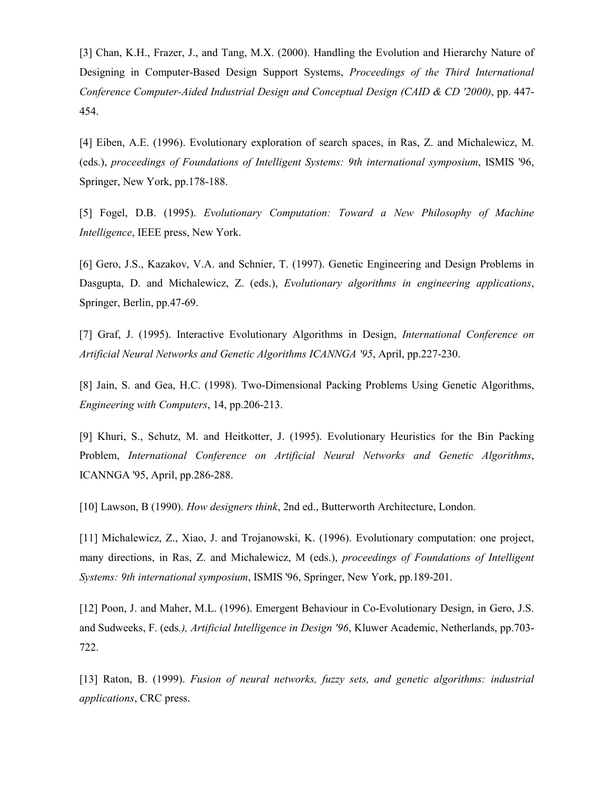[3] Chan, K.H., Frazer, J., and Tang, M.X. (2000). Handling the Evolution and Hierarchy Nature of Designing in Computer-Based Design Support Systems, *Proceedings of the Third International Conference Computer-Aided Industrial Design and Conceptual Design (CAID & CD '2000)*, pp. 447- 454.

[4] Eiben, A.E. (1996). Evolutionary exploration of search spaces, in Ras, Z. and Michalewicz, M. (eds.), *proceedings of Foundations of Intelligent Systems: 9th international symposium*, ISMIS '96, Springer, New York, pp.178-188.

[5] Fogel, D.B. (1995). *Evolutionary Computation: Toward a New Philosophy of Machine Intelligence*, IEEE press, New York.

[6] Gero, J.S., Kazakov, V.A. and Schnier, T. (1997). Genetic Engineering and Design Problems in Dasgupta, D. and Michalewicz, Z. (eds.), *Evolutionary algorithms in engineering applications*, Springer, Berlin, pp.47-69.

[7] Graf, J. (1995). Interactive Evolutionary Algorithms in Design, *International Conference on Artificial Neural Networks and Genetic Algorithms ICANNGA '95*, April, pp.227-230.

[8] Jain, S. and Gea, H.C. (1998). Two-Dimensional Packing Problems Using Genetic Algorithms, *Engineering with Computers*, 14, pp.206-213.

[9] Khuri, S., Schutz, M. and Heitkotter, J. (1995). Evolutionary Heuristics for the Bin Packing Problem, *International Conference on Artificial Neural Networks and Genetic Algorithms*, ICANNGA '95, April, pp.286-288.

[10] Lawson, B (1990). *How designers think*, 2nd ed., Butterworth Architecture, London.

[11] Michalewicz, Z., Xiao, J. and Trojanowski, K. (1996). Evolutionary computation: one project, many directions, in Ras, Z. and Michalewicz, M (eds.), *proceedings of Foundations of Intelligent Systems: 9th international symposium*, ISMIS '96, Springer, New York, pp.189-201.

[12] Poon, J. and Maher, M.L. (1996). Emergent Behaviour in Co-Evolutionary Design, in Gero, J.S. and Sudweeks, F. (eds*.), Artificial Intelligence in Design '96*, Kluwer Academic, Netherlands, pp.703- 722.

[13] Raton, B. (1999). *Fusion of neural networks, fuzzy sets, and genetic algorithms: industrial applications*, CRC press.